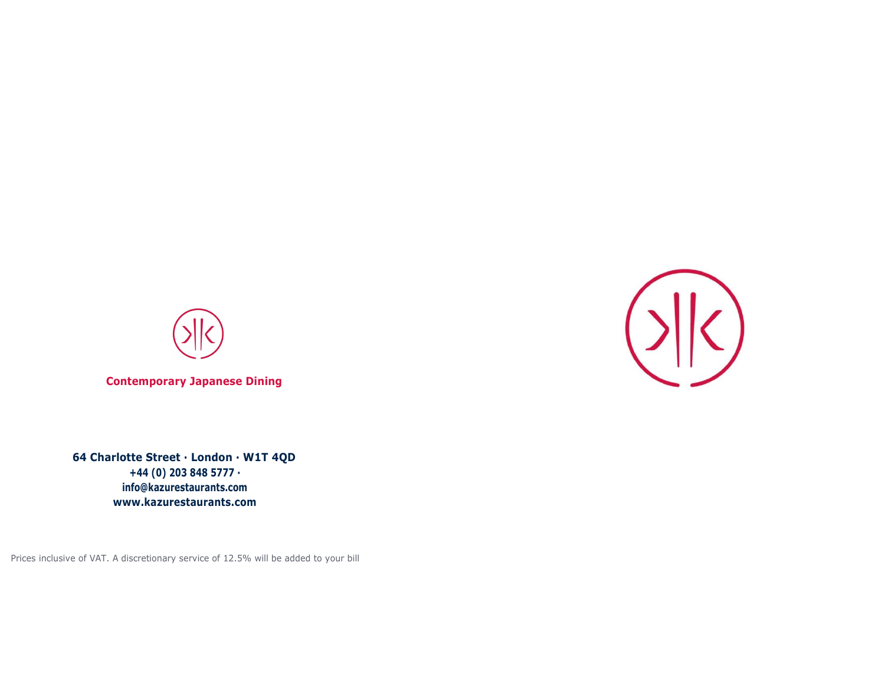

**Contemporary Japanese Dining**

**64 Charlotte Street · London · W1T 4QD +44 (0) 203 848 5777 · [info@kazurestaurants.com](mailto:info@kazurestaurants.com) [www.kazurestaurants.com](http://www.kazurestaurants.com/)**

Prices inclusive of VAT. A discretionary service of 12.5% will be added to your bill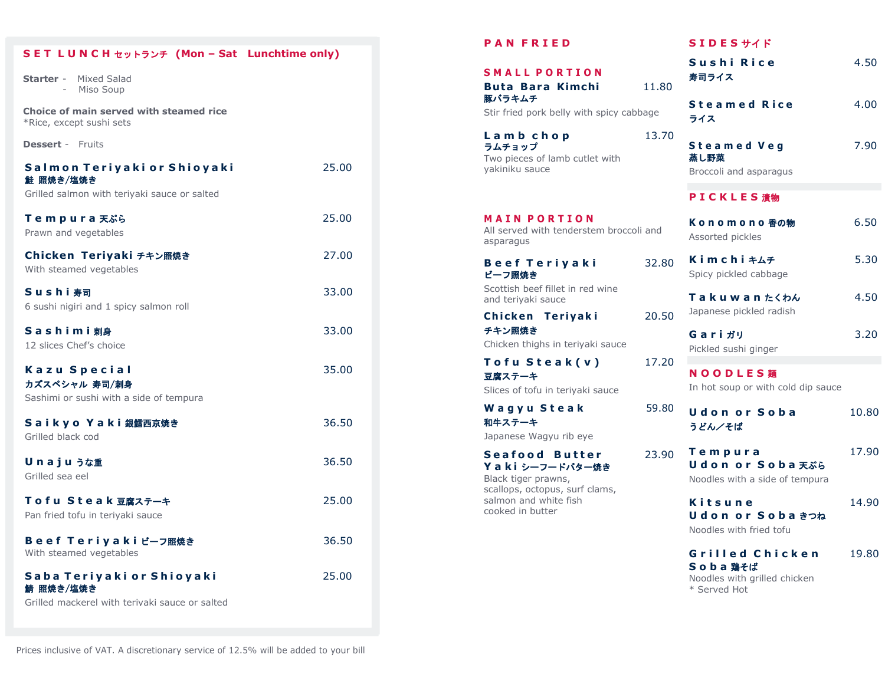| SET LUNCH セットランチ (Mon - Sat Lunchtime only)                                              |       |
|------------------------------------------------------------------------------------------|-------|
| <b>Starter</b> - Mixed Salad<br>Miso Soup<br>$\sim 10^{-1}$                              |       |
| Choice of main served with steamed rice<br>*Rice, except sushi sets                      |       |
| <b>Dessert - Fruits</b>                                                                  |       |
| Salmon Teriyaki or Shioyaki<br>鮭 照焼き/塩焼き<br>Grilled salmon with teriyaki sauce or salted | 25,00 |
| <b>Tempura</b> 天ぷら<br>Prawn and vegetables                                               | 25,00 |
| Chicken Teriyaki チキン照焼き<br>With steamed vegetables                                       | 27,00 |
| Sushi寿司<br>6 sushi nigiri and 1 spicy salmon roll                                        | 33.00 |
| Sashimi刺身<br>12 slices Chef's choice                                                     | 33.00 |
| Kazu Special<br>カズスペシャル 寿司/刺身<br>Sashimi or sushi with a side of tempura                 | 35.00 |
| Saikyo Yaki銀鱈西京焼き<br>Grilled black cod                                                   | 36.50 |
| Unajuうな重<br>Grilled sea eel                                                              | 36.50 |
| Tofu Steak豆腐ステーキ<br>Pan fried tofu in teriyaki sauce                                     | 25.00 |
| Beef Teriyaki ビーフ照焼き<br>With steamed vegetables                                          | 36.50 |
| Saba Teriyaki or Shioyaki<br>鯖 照焼き/塩焼き<br>Grilled mackerel with terivaki sauce or salted | 25.00 |
|                                                                                          |       |

| <b>PAN FRIED</b>                                                                                                                               |       | SIDES H A K                                                   |       |
|------------------------------------------------------------------------------------------------------------------------------------------------|-------|---------------------------------------------------------------|-------|
| <b>SMALL PORTION</b><br><b>Buta Bara Kimchi</b>                                                                                                | 11.80 | Sushi Rice<br>寿司ライス                                           | 4.50  |
| 豚バラキムチ<br>Stir fried pork belly with spicy cabbage                                                                                             |       | <b>Steamed Rice</b><br>ライス                                    | 4.00  |
| 13.70<br>Lamb chop<br>ラムチョップ<br>Two pieces of lamb cutlet with<br>yakiniku sauce                                                               |       | Steamed Veg<br>蒸し野菜<br>Broccoli and asparagus                 | 7.90  |
|                                                                                                                                                |       | P I C K L E S 清物                                              |       |
| <b>MAIN PORTION</b><br>All served with tenderstem broccoli and<br>asparagus                                                                    |       | Konomono 香の物<br>Assorted pickles                              | 6.50  |
| <b>Beef Teriyaki</b><br>ビーフ照焼き                                                                                                                 | 32.80 | Kimchi $\pm\Delta\pm$<br>Spicy pickled cabbage                | 5.30  |
| Scottish beef fillet in red wine<br>and teriyaki sauce                                                                                         |       | Takuwan たくわん                                                  | 4.50  |
| Chicken Teriyaki<br>チキン照焼き<br>Chicken thighs in teriyaki sauce                                                                                 | 20.50 | Japanese pickled radish<br>Gariガリ<br>Pickled sushi ginger     | 3.20  |
| Tofu Steak(v)<br>豆腐ステーキ<br>Slices of tofu in teriyaki sauce                                                                                    | 17.20 | NOODLES <b>麵</b><br>In hot soup or with cold dip sauce        |       |
| Wagyu Steak<br>和牛ステーキ<br>Japanese Wagyu rib eye                                                                                                | 59.80 | <b>Udonor Soba</b><br>うどん/そば                                  | 10.80 |
| <b>Seafood Butter</b><br>Yaki シーフードバター焼き<br>Black tiger prawns,<br>scallops, octopus, surf clams,<br>salmon and white fish<br>cooked in butter | 23.90 | Tempura<br>Udon or Soba 天ぷら<br>Noodles with a side of tempura | 17.90 |
|                                                                                                                                                |       | Kitsune<br>Udon or Soba きつね<br>Noodles with fried tofu        | 14.90 |
|                                                                                                                                                |       | Grilled Chicken<br>S o b a 碧そば                                | 19.80 |

Noodles with grilled chicken \* Served Hot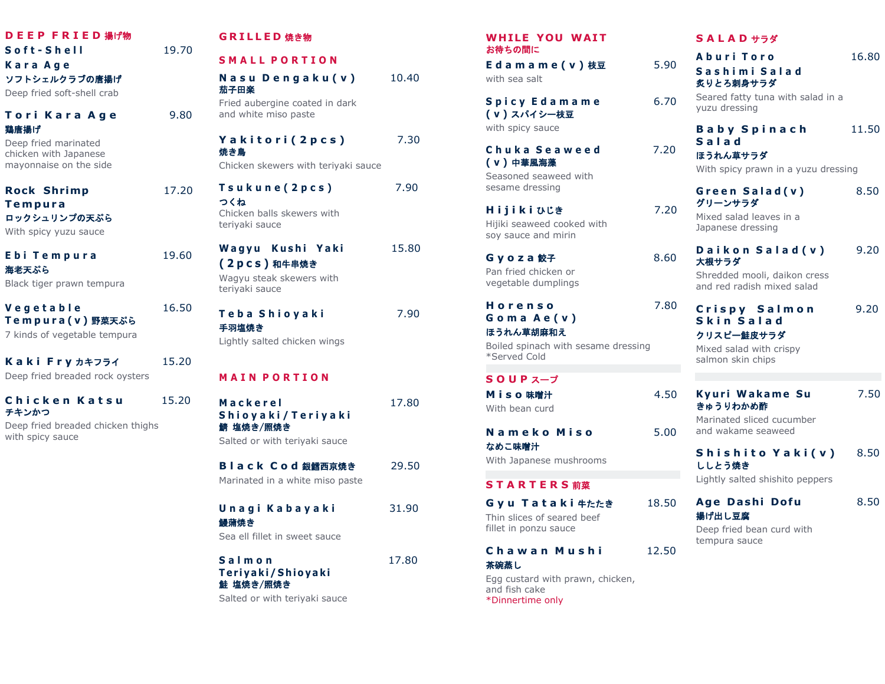| DEEP FRIED 揚げ物<br>Soft-Shell<br>Kara Age<br>ソフトシェルクラブの唐揚げ<br>Deep fried soft-shell crab | 19.70 | G l<br>S <sub>1</sub><br>N.<br>茄    |
|-----------------------------------------------------------------------------------------|-------|-------------------------------------|
| Tori Kara Age<br>鶏唐揚げ<br>Deep fried marinated                                           | 9.80  | Fri<br>an<br>Y.<br>焼き               |
| chicken with Japanese<br>mayonnaise on the side                                         |       | Ch                                  |
| <b>Rock Shrimp</b><br>Tempura<br>ロックシュリンプの天ぷら<br>With spicy yuzu sauce                  | 17.20 | Τs<br>$\triangleright$<br>Ch<br>ter |
| Ebi Tempura<br>海老天ぷら<br>Black tiger prawn tempura                                       | 19.60 | W<br>$\overline{c}$<br>Wa<br>ter    |
| Vegetable<br>Tempura(v)野菜天ぷら<br>7 kinds of vegetable tempura                            | 16.50 | Τe<br>手羽<br>Lig                     |
| Kaki Fry カキフライ<br>Deep fried breaded rock oysters                                       | 15.20 | M.                                  |
| Chicken Katsu<br>チキンかつ<br>Deep fried breaded chicken thighs<br>with spicy sauce         | 15.20 | M (<br>S ł<br>錆<br>Sa               |
|                                                                                         |       | В<br>Ma                             |
|                                                                                         |       | ו ש<br>鰻<br>Se                      |
|                                                                                         |       | S a<br>Тρ                           |

# **G R I L L E D** 焼き物

**S M A L L P O R T I O N**

**N a s u D e n g a k u ( v )** 10.40 子田楽 ied aubergine coated in dark

d white miso paste

**Y a k i t o r i ( 2 p c s )** 7.30 焼き鳥

icken skewers with terivaki sauce

**T s u k u n e ( 2 p c s )** 7.90 つくね icken balls skewers with riyaki sauce

**W a g y u K u s h i Y a k i** 15.80 **( 2 p c s )** 和牛串焼き

agyu steak skewers with riyaki sauce

**T e b a S h i o y a k i** 7.90 手羽塩焼き

ahtly salted chicken wings

### **M A I N P O R T I O N**

**M a c k e r e l** 17.80 **S h i o y a k i / T e r i y a k i** 塩焼き/照焼き Ited or with teriyaki sauce

**B l a c k C o d** 銀鱈西京焼き29.50 arinated in a white miso paste

**U n a g i K a b a y a k i** 31.90 鰻蒲焼き a ell fillet in sweet sauce

**S a l m o n** 17.80 **Ter i yaki/ S h io ya ki** 鮭 塩焼き/照焼き

Salted or with teriyaki sauce

# WHILE YOU WAIT お待ちの間に

**E d a m a m e ( v )** 枝豆5.90 with sea salt

**Spicy Edamame** 6.70 **( v )** スパイシー枝豆 with spicy sauce

**C h u k a S e a w e e d** 7.20 **( v )** 中華風海藻 Seasoned seaweed with

sesame dressing

**H i j i k i** ひじき7.20 Hijiki seaweed cooked with soy sauce and mirin

**G y o z a** 餃子 8.60 Pan fried chicken or vegetable dumplings

**H o r e n s o** 7.80 **G o m a A e ( v )** ほうれん草胡麻和え

Boiled spinach with sesame dressing \*Served Cold

# **S O U P** スープ

**M i s o** 味噌汁4.50 With bean curd

**N a m e k o M i s o** 5.00 なめこ味噌汁 With Japanese mushrooms

# **S T A R T E R S** 前菜

**G y u T a t a k i** 牛たたき 18.50 Thin slices of seared beef fillet in ponzu sauce

#### **C h a w a n M u s h i** 12.50 茶碗蒸し

Egg custard with prawn, chicken, and fish cake \*Dinnertime only

### **S A L A D** サラダ

| Aburi Toro                                                 | 16.80 |
|------------------------------------------------------------|-------|
| Sashimi Salad<br>炙りとろ刺身サラダ                                 |       |
| Seared fatty tuna with salad in a<br>yuzu dressing         |       |
| <b>Baby Spinach</b><br>Salad<br>ほうれん草サラダ                   | 11.50 |
| With spicy prawn in a yuzu dressing                        |       |
| Green Salad(v)<br>グリーンサラダ                                  | 8.50  |
| Mixed salad leaves in a<br>Japanese dressing               |       |
| Daikon Salad (v)<br>大根サラダ                                  | 9.20  |
| Shredded mooli, daikon cress<br>and red radish mixed salad |       |
| Crispy Salmon<br>Skin Salad<br>クリスピー鮭皮サラダ                  | 9.20  |
| Mixed salad with crispy<br>salmon skin chips               |       |
| Kyuri Wakame Su<br>きゅうりわかめ酢                                | 7.50  |
| Marinated sliced cucumber<br>and wakame seaweed            |       |
| Shishito Yaki(v)<br>ししとう焼き                                 | 8.50  |
| Lightly salted shishito peppers                            |       |
| Age Dashi Dofu<br>揚げ出し豆腐                                   | 8.50  |
| Deep fried bean curd with<br>tempura sauce                 |       |
|                                                            |       |